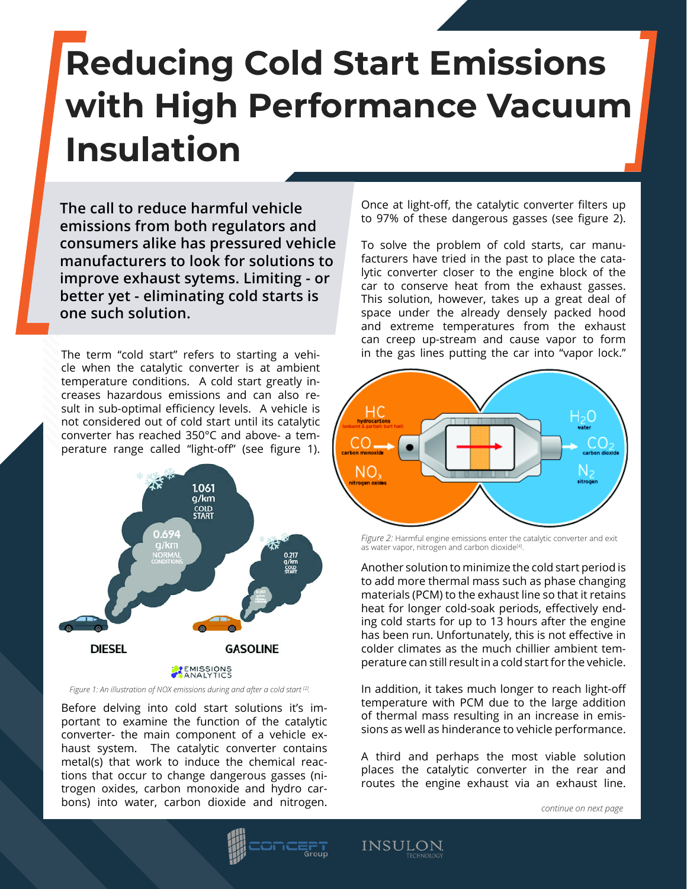## **Reducing Cold Start Emissions with High Performance Vacuum Insulation**

**The call to reduce harmful vehicle emissions from both regulators and consumers alike has pressured vehicle manufacturers to look for solutions to improve exhaust sytems. Limiting - or better yet - eliminating cold starts is one such solution.**

The term "cold start" refers to starting a vehicle when the catalytic converter is at ambient temperature conditions. A cold start greatly increases hazardous emissions and can also result in sub-optimal efficiency levels. A vehicle is not considered out of cold start until its catalytic converter has reached 350°C and above- a temperature range called "light-off" (see figure 1).



*Figure 1: An illustration of NOX emissions during and after a cold start [2].*

Before delving into cold start solutions it's important to examine the function of the catalytic converter- the main component of a vehicle exhaust system. The catalytic converter contains metal(s) that work to induce the chemical reactions that occur to change dangerous gasses (nitrogen oxides, carbon monoxide and hydro carbons) into water, carbon dioxide and nitrogen.

Once at light-off, the catalytic converter filters up to 97% of these dangerous gasses (see figure 2).

To solve the problem of cold starts, car manufacturers have tried in the past to place the catalytic converter closer to the engine block of the car to conserve heat from the exhaust gasses. This solution, however, takes up a great deal of space under the already densely packed hood and extreme temperatures from the exhaust can creep up-stream and cause vapor to form in the gas lines putting the car into "vapor lock."



*Figure 2:* Harmful engine emissions enter the catalytic converter and exit as water vapor, nitrogen and carbon dioxide<sup>[4]</sup>.

Another solution to minimize the cold start period is to add more thermal mass such as phase changing materials (PCM) to the exhaust line so that it retains heat for longer cold-soak periods, effectively ending cold starts for up to 13 hours after the engine has been run. Unfortunately, this is not effective in colder climates as the much chillier ambient temperature can still result in a cold start for the vehicle.

In addition, it takes much longer to reach light-off temperature with PCM due to the large addition of thermal mass resulting in an increase in emissions as well as hinderance to vehicle performance.

A third and perhaps the most viable solution places the catalytic converter in the rear and routes the engine exhaust via an exhaust line.